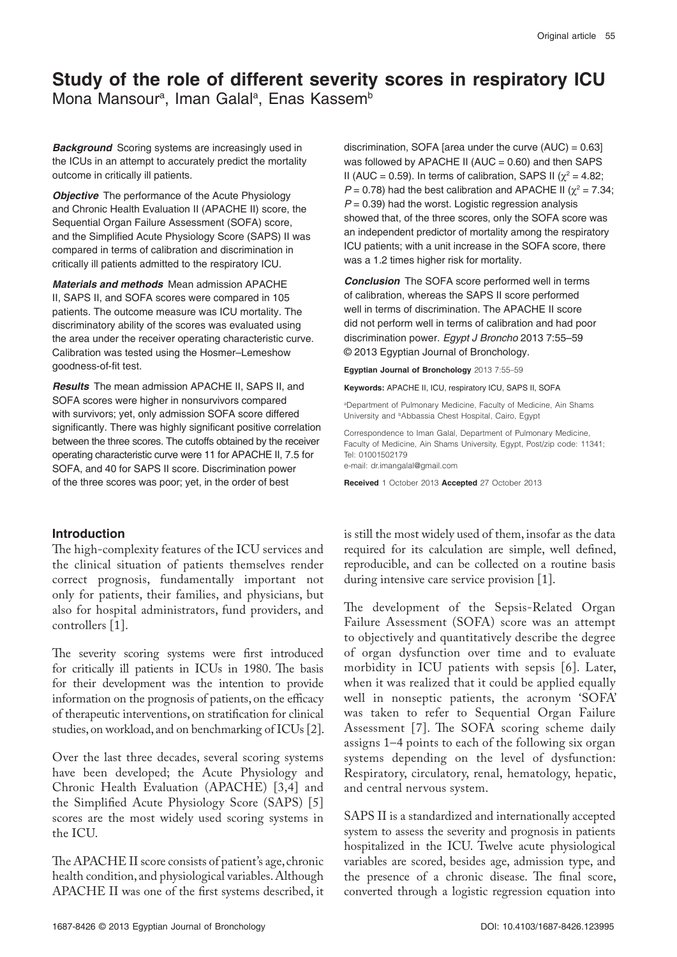# **Study of the role of different severity scores in respiratory ICU** Mona Mansour<sup>a</sup>, Iman Galal<sup>a</sup>, Enas Kassem<sup>b</sup>

**Background** Scoring systems are increasingly used in the ICUs in an attempt to accurately predict the mortality outcome in critically ill patients.

**Objective** The performance of the Acute Physiology and Chronic Health Evaluation II (APACHE II) score, the Sequential Organ Failure Assessment (SOFA) score, and the Simplified Acute Physiology Score (SAPS) II was compared in terms of calibration and discrimination in critically ill patients admitted to the respiratory ICU.

**Materials and methods** Mean admission APACHE II, SAPS II, and SOFA scores were compared in 105 patients. The outcome measure was ICU mortality. The discriminatory ability of the scores was evaluated using the area under the receiver operating characteristic curve. Calibration was tested using the Hosmer–Lemeshow goodness-of-fit test.

**Results** The mean admission APACHE II, SAPS II, and SOFA scores were higher in nonsurvivors compared with survivors; yet, only admission SOFA score differed significantly. There was highly significant positive correlation between the three scores. The cutoffs obtained by the receiver operating characteristic curve were 11 for APACHE II, 7.5 for SOFA, and 40 for SAPS II score. Discrimination power of the three scores was poor; yet, in the order of best

## **Introduction**

The high-complexity features of the ICU services and the clinical situation of patients themselves render correct prognosis, fundamentally important not only for patients, their families, and physicians, but also for hospital administrators, fund providers, and controllers [1].

The severity scoring systems were first introduced for critically ill patients in ICUs in 1980. The basis for their development was the intention to provide information on the prognosis of patients, on the efficacy of therapeutic interventions, on stratification for clinical studies, on workload, and on benchmarking of ICUs [2].

Over the last three decades, several scoring systems have been developed; the Acute Physiology and Chronic Health Evaluation (APACHE) [3,4] and the Simplified Acute Physiology Score (SAPS) [5] scores are the most widely used scoring systems in the ICU.

The APACHE II score consists of patient's age, chronic health condition, and physiological variables. Although APACHE II was one of the first systems described, it discrimination, SOFA [area under the curve  $(AUC) = 0.63$ ] was followed by APACHE II (AUC =  $0.60$ ) and then SAPS II (AUC = 0.59). In terms of calibration, SAPS II ( $\chi^2$  = 4.82;  $P = 0.78$ ) had the best calibration and APACHE II ( $\chi^2 = 7.34$ ;  $P = 0.39$ ) had the worst. Logistic regression analysis showed that, of the three scores, only the SOFA score was an independent predictor of mortality among the respiratory ICU patients; with a unit increase in the SOFA score, there was a 1.2 times higher risk for mortality.

**Conclusion** The SOFA score performed well in terms of calibration, whereas the SAPS II score performed well in terms of discrimination. The APACHE II score did not perform well in terms of calibration and had poor discrimination power. *Egypt J Broncho* 2013 7:55–59 © 2013 Egyptian Journal of Bronchology.

**Egyptian Journal of Bronchology** 2013 7:55–59

**Keywords:** APACHE II, ICU, respiratory ICU, SAPS II, SOFA

a Department of Pulmonary Medicine, Faculty of Medicine, Ain Shams University and <sup>b</sup>Abbassia Chest Hospital, Cairo, Egypt

Correspondence to Iman Galal, Department of Pulmonary Medicine, Faculty of Medicine, Ain Shams University, Egypt, Post/zip code: 11341; Tel: 01001502179 e-mail: dr.imangalal@gmail.com

**Received** 1 October 2013 **Accepted** 27 October 2013

is still the most widely used of them, insofar as the data required for its calculation are simple, well defined, reproducible, and can be collected on a routine basis during intensive care service provision [1].

The development of the Sepsis-Related Organ Failure Assessment (SOFA) score was an attempt to objectively and quantitatively describe the degree of organ dysfunction over time and to evaluate morbidity in ICU patients with sepsis [6]. Later, when it was realized that it could be applied equally well in nonseptic patients, the acronym 'SOFA' was taken to refer to Sequential Organ Failure Assessment [7]. The SOFA scoring scheme daily assigns 1–4 points to each of the following six organ systems depending on the level of dysfunction: Respiratory, circulatory, renal, hematology, hepatic, and central nervous system.

SAPS II is a standardized and internationally accepted system to assess the severity and prognosis in patients hospitalized in the ICU. Twelve acute physiological variables are scored, besides age, admission type, and the presence of a chronic disease. The final score, converted through a logistic regression equation into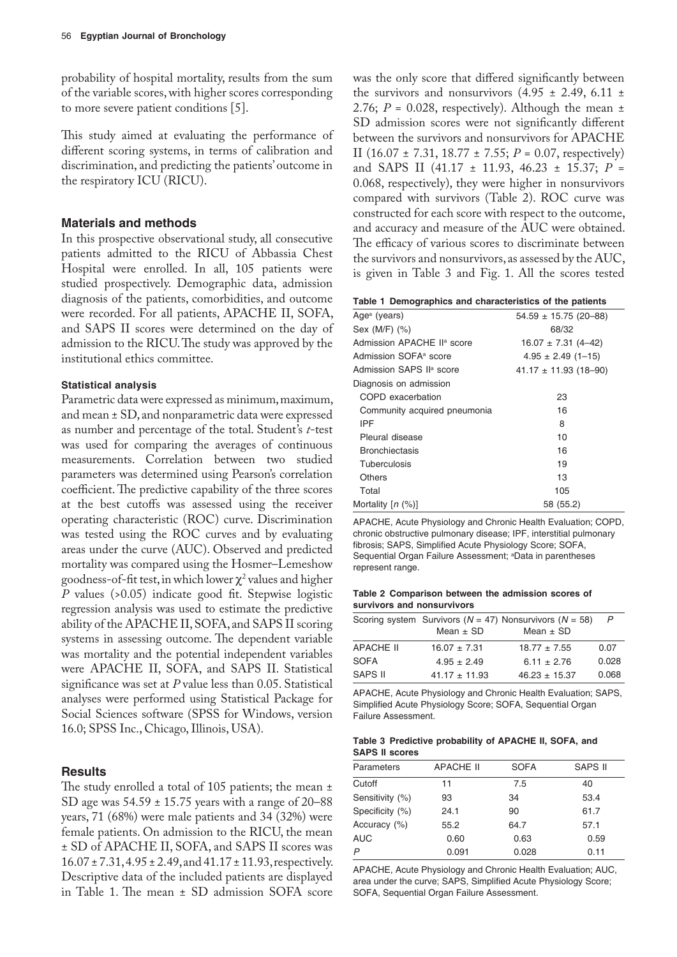probability of hospital mortality, results from the sum of the variable scores, with higher scores corresponding to more severe patient conditions [5].

This study aimed at evaluating the performance of different scoring systems, in terms of calibration and discrimination, and predicting the patients' outcome in the respiratory ICU (RICU).

#### **Materials and methods**

In this prospective observational study, all consecutive patients admitted to the RICU of Abbassia Chest Hospital were enrolled. In all, 105 patients were studied prospectively. Demographic data, admission diagnosis of the patients, comorbidities, and outcome were recorded. For all patients, APACHE II, SOFA, and SAPS II scores were determined on the day of admission to the RICU. The study was approved by the institutional ethics committee.

#### **Statistical analysis**

Parametric data were expressed as minimum, maximum, and mean ± SD, and nonparametric data were expressed as number and percentage of the total. Student's *t*-test was used for comparing the averages of continuous measurements. Correlation between two studied parameters was determined using Pearson's correlation coefficient. The predictive capability of the three scores at the best cutoffs was assessed using the receiver operating characteristic (ROC) curve. Discrimination was tested using the ROC curves and by evaluating areas under the curve (AUC). Observed and predicted mortality was compared using the Hosmer–Lemeshow goodness-of-fit test, in which lower  $\chi^2$  values and higher *P* values (>0.05) indicate good fit. Stepwise logistic regression analysis was used to estimate the predictive ability of the APACHE II, SOFA, and SAPS II scoring systems in assessing outcome. The dependent variable was mortality and the potential independent variables were APACHE II, SOFA, and SAPS II. Statistical significance was set at *P* value less than 0.05. Statistical analyses were performed using Statistical Package for Social Sciences software (SPSS for Windows, version 16.0; SPSS Inc., Chicago, Illinois, USA).

#### **Results**

The study enrolled a total of 105 patients; the mean  $\pm$ SD age was 54.59 ± 15.75 years with a range of 20–88 years, 71 (68%) were male patients and 34 (32%) were female patients. On admission to the RICU, the mean ± SD of APACHE II, SOFA, and SAPS II scores was 16.07 ± 7.31, 4.95 ± 2.49, and 41.17 ± 11.93, respectively. Descriptive data of the included patients are displayed in Table 1. The mean ± SD admission SOFA score was the only score that differed significantly between the survivors and nonsurvivors  $(4.95 \pm 2.49, 6.11 \pm$ 2.76;  $P = 0.028$ , respectively). Although the mean  $\pm$ SD admission scores were not significantly different between the survivors and nonsurvivors for APACHE II (16.07 ± 7.31, 18.77 ± 7.55; *P* = 0.07, respectively) and SAPS II (41.17 ± 11.93, 46.23 ± 15.37; *P* = 0.068, respectively), they were higher in nonsurvivors compared with survivors (Table 2). ROC curve was constructed for each score with respect to the outcome, and accuracy and measure of the AUC were obtained. The efficacy of various scores to discriminate between the survivors and nonsurvivors, as assessed by the AUC, is given in Table 3 and Fig. 1. All the scores tested

|  | Table 1 Demographics and characteristics of the patients |  |  |  |  |
|--|----------------------------------------------------------|--|--|--|--|
|--|----------------------------------------------------------|--|--|--|--|

| Age <sup>a</sup> (years)               | $54.59 \pm 15.75$ (20-88) |
|----------------------------------------|---------------------------|
| Sex (M/F) (%)                          | 68/32                     |
| Admission APACHE II <sup>a</sup> score | $16.07 \pm 7.31$ (4–42)   |
| Admission SOFA <sup>a</sup> score      | $4.95 \pm 2.49$ (1-15)    |
| Admission SAPS II <sup>a</sup> score   | $41.17 \pm 11.93$ (18-90) |
| Diagnosis on admission                 |                           |
| COPD exacerbation                      | 23                        |
| Community acquired pneumonia           | 16                        |
| IPF                                    | 8                         |
| Pleural disease                        | 10                        |
| <b>Bronchiectasis</b>                  | 16                        |
| Tuberculosis                           | 19                        |
| <b>Others</b>                          | 13                        |
| Total                                  | 105                       |
| Mortality $[n (%)]$                    | 58 (55.2)                 |

APACHE, Acute Physiology and Chronic Health Evaluation; COPD, chronic obstructive pulmonary disease; IPF, interstitial pulmonary fibrosis; SAPS, Simplified Acute Physiology Score; SOFA, Sequential Organ Failure Assessment; <sup>a</sup>Data in parentheses represent range.

**Table 2 Comparison between the admission scores of survivors and nonsurvivors**

|                  | Scoring system Survivors ( $N = 47$ ) Nonsurvivors ( $N = 58$ ) |                   |       |
|------------------|-----------------------------------------------------------------|-------------------|-------|
|                  | Mean $\pm$ SD                                                   | Mean $\pm$ SD     |       |
| <b>APACHE II</b> | $16.07 \pm 7.31$                                                | $18.77 \pm 7.55$  | 0.07  |
| <b>SOFA</b>      | $4.95 \pm 2.49$                                                 | $6.11 \pm 2.76$   | 0.028 |
| <b>SAPS II</b>   | $41.17 \pm 11.93$                                               | $46.23 \pm 15.37$ | 0.068 |

APACHE, Acute Physiology and Chronic Health Evaluation; SAPS, Simplified Acute Physiology Score; SOFA, Sequential Organ Failure Assessment.

**Table 3 Predictive probability of APACHE II, SOFA, and SAPS II scores**

| Parameters      | <b>APACHE II</b> | <b>SOFA</b> | <b>SAPS II</b> |
|-----------------|------------------|-------------|----------------|
| Cutoff          | 11               | 7.5         | 40             |
| Sensitivity (%) | 93               | 34          | 53.4           |
| Specificity (%) | 24.1             | 90          | 61.7           |
| Accuracy (%)    | 55.2             | 64.7        | 57.1           |
| <b>AUC</b>      | 0.60             | 0.63        | 0.59           |
| P               | 0.091            | 0.028       | 0.11           |

APACHE, Acute Physiology and Chronic Health Evaluation; AUC, area under the curve; SAPS, Simplified Acute Physiology Score; SOFA, Sequential Organ Failure Assessment.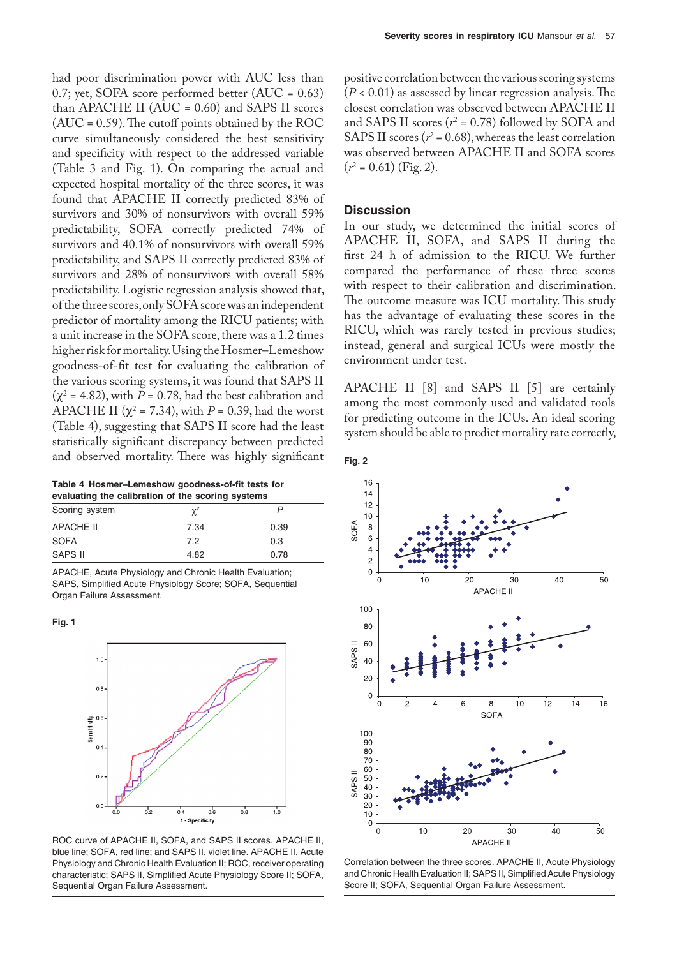had poor discrimination power with AUC less than 0.7; yet, SOFA score performed better (AUC = 0.63) than APACHE II ( $AUC = 0.60$ ) and SAPS II scores  $(AUC = 0.59)$ . The cutoff points obtained by the ROC curve simultaneously considered the best sensitivity and specificity with respect to the addressed variable (Table 3 and Fig. 1). On comparing the actual and expected hospital mortality of the three scores, it was found that APACHE II correctly predicted 83% of survivors and 30% of nonsurvivors with overall 59% predictability, SOFA correctly predicted 74% of survivors and 40.1% of nonsurvivors with overall 59% predictability, and SAPS II correctly predicted 83% of survivors and 28% of nonsurvivors with overall 58% predictability. Logistic regression analysis showed that, of the three scores, only SOFA score was an independent predictor of mortality among the RICU patients; with a unit increase in the SOFA score, there was a 1.2 times higher risk for mortality. Using the Hosmer–Lemeshow goodness-of-fit test for evaluating the calibration of the various scoring systems, it was found that SAPS II  $(\chi^2 = 4.82)$ , with  $P = 0.78$ , had the best calibration and APACHE II ( $\chi^2$  = 7.34), with *P* = 0.39, had the worst (Table 4), suggesting that SAPS II score had the least statistically significant discrepancy between predicted and observed mortality. There was highly significant

**Table 4 Hosmer–Lemeshow goodness-of-fit tests for**

| evaluating the calibration of the scoring systems |          |      |  |
|---------------------------------------------------|----------|------|--|
| Scoring system                                    | $\chi^2$ |      |  |
| <b>APACHE II</b>                                  | 7.34     | 0.39 |  |
| <b>SOFA</b>                                       | 7.2      | 0.3  |  |
| SAPS II                                           | 4.82     | 0.78 |  |

APACHE, Acute Physiology and Chronic Health Evaluation; SAPS, Simplified Acute Physiology Score; SOFA, Sequential Organ Failure Assessment.

**Fig. 1**



ROC curve of APACHE II, SOFA, and SAPS II scores. APACHE II, blue line; SOFA, red line; and SAPS II, violet line. APACHE II, Acute Physiology and Chronic Health Evaluation II; ROC, receiver operating characteristic; SAPS II, Simplified Acute Physiology Score II; SOFA, Sequential Organ Failure Assessment.

positive correlation between the various scoring systems (*P* < 0.01) as assessed by linear regression analysis. The closest correlation was observed between APACHE II and SAPS II scores ( $r^2$  = 0.78) followed by SOFA and SAPS II scores ( $r^2$  = 0.68), whereas the least correlation was observed between APACHE II and SOFA scores  $(r^2 = 0.61)$  (Fig. 2).

#### **Discussion**

In our study, we determined the initial scores of APACHE II, SOFA, and SAPS II during the first 24 h of admission to the RICU. We further compared the performance of these three scores with respect to their calibration and discrimination. The outcome measure was ICU mortality. This study has the advantage of evaluating these scores in the RICU, which was rarely tested in previous studies; instead, general and surgical ICUs were mostly the environment under test.

APACHE II [8] and SAPS II [5] are certainly among the most commonly used and validated tools for predicting outcome in the ICUs. An ideal scoring system should be able to predict mortality rate correctly,





Correlation between the three scores. APACHE II, Acute Physiology and Chronic Health Evaluation II; SAPS II, Simplified Acute Physiology Score II; SOFA, Sequential Organ Failure Assessment.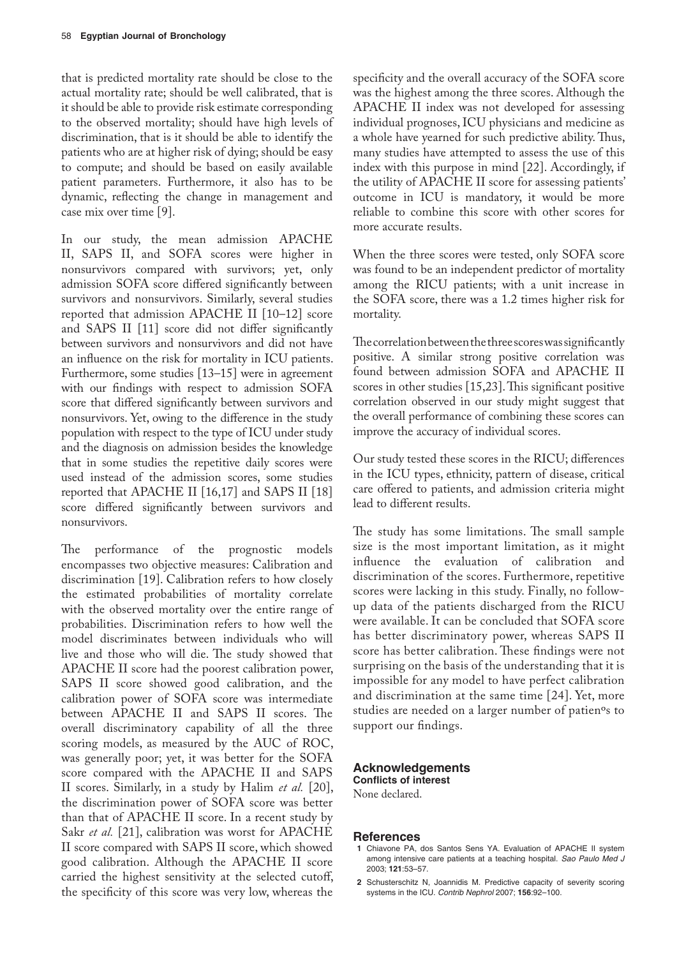that is predicted mortality rate should be close to the actual mortality rate; should be well calibrated, that is it should be able to provide risk estimate corresponding to the observed mortality; should have high levels of discrimination, that is it should be able to identify the patients who are at higher risk of dying; should be easy to compute; and should be based on easily available patient parameters. Furthermore, it also has to be dynamic, reflecting the change in management and case mix over time [9].

In our study, the mean admission APACHE II, SAPS II, and SOFA scores were higher in nonsurvivors compared with survivors; yet, only admission SOFA score differed significantly between survivors and nonsurvivors. Similarly, several studies reported that admission APACHE II [10–12] score and SAPS II [11] score did not differ significantly between survivors and nonsurvivors and did not have an influence on the risk for mortality in ICU patients. Furthermore, some studies [13–15] were in agreement with our findings with respect to admission SOFA score that differed significantly between survivors and nonsurvivors. Yet, owing to the difference in the study population with respect to the type of ICU under study and the diagnosis on admission besides the knowledge that in some studies the repetitive daily scores were used instead of the admission scores, some studies reported that APACHE II [16,17] and SAPS II [18] score differed significantly between survivors and nonsurvivors.

The performance of the prognostic models encompasses two objective measures: Calibration and discrimination [19]. Calibration refers to how closely the estimated probabilities of mortality correlate with the observed mortality over the entire range of probabilities. Discrimination refers to how well the model discriminates between individuals who will live and those who will die. The study showed that APACHE II score had the poorest calibration power, SAPS II score showed good calibration, and the calibration power of SOFA score was intermediate between APACHE II and SAPS II scores. The overall discriminatory capability of all the three scoring models, as measured by the AUC of ROC, was generally poor; yet, it was better for the SOFA score compared with the APACHE II and SAPS II scores. Similarly, in a study by Halim *et al.* [20], the discrimination power of SOFA score was better than that of APACHE II score. In a recent study by Sakr *et al.* [21], calibration was worst for APACHE II score compared with SAPS II score, which showed good calibration. Although the APACHE II score carried the highest sensitivity at the selected cutoff, the specificity of this score was very low, whereas the

specificity and the overall accuracy of the SOFA score was the highest among the three scores. Although the APACHE II index was not developed for assessing individual prognoses, ICU physicians and medicine as a whole have yearned for such predictive ability. Thus, many studies have attempted to assess the use of this index with this purpose in mind [22]. Accordingly, if the utility of APACHE II score for assessing patients' outcome in ICU is mandatory, it would be more reliable to combine this score with other scores for more accurate results.

When the three scores were tested, only SOFA score was found to be an independent predictor of mortality among the RICU patients; with a unit increase in the SOFA score, there was a 1.2 times higher risk for mortality.

The correlation between the three scores was significantly positive. A similar strong positive correlation was found between admission SOFA and APACHE II scores in other studies [15,23]. This significant positive correlation observed in our study might suggest that the overall performance of combining these scores can improve the accuracy of individual scores.

Our study tested these scores in the RICU; differences in the ICU types, ethnicity, pattern of disease, critical care offered to patients, and admission criteria might lead to different results.

The study has some limitations. The small sample size is the most important limitation, as it might influence the evaluation of calibration and discrimination of the scores. Furthermore, repetitive scores were lacking in this study. Finally, no followup data of the patients discharged from the RICU were available. It can be concluded that SOFA score has better discriminatory power, whereas SAPS II score has better calibration. These findings were not surprising on the basis of the understanding that it is impossible for any model to have perfect calibration and discrimination at the same time [24]. Yet, more studies are needed on a larger number of patienºs to support our findings.

## **Acknowledgements Conflicts of interest**

None declared.

### **References**

- **1** Chiavone PA, dos Santos Sens YA. Evaluation of APACHE II system among intensive care patients at a teaching hospital. *Sao Paulo Med J*  2003; **121**:53–57.
- **2** Schusterschitz N, Joannidis M. Predictive capacity of severity scoring systems in the ICU. *Contrib Nephrol* 2007; **156**:92–100.